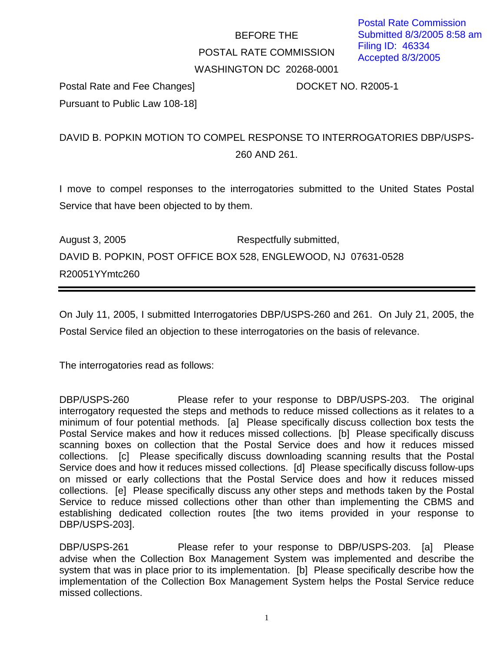## BEFORE THE POSTAL RATE COMMISSION WASHINGTON DC 20268-0001

Postal Rate and Fee Changes] DOCKET NO. R2005-1 Pursuant to Public Law 108-18]

## DAVID B. POPKIN MOTION TO COMPEL RESPONSE TO INTERROGATORIES DBP/USPS-260 AND 261.

I move to compel responses to the interrogatories submitted to the United States Postal Service that have been objected to by them.

August 3, 2005 **Respectfully submitted,** DAVID B. POPKIN, POST OFFICE BOX 528, ENGLEWOOD, NJ 07631-0528 R20051YYmtc260

On July 11, 2005, I submitted Interrogatories DBP/USPS-260 and 261. On July 21, 2005, the Postal Service filed an objection to these interrogatories on the basis of relevance.

The interrogatories read as follows:

DBP/USPS-260 Please refer to your response to DBP/USPS-203. The original interrogatory requested the steps and methods to reduce missed collections as it relates to a minimum of four potential methods. [a] Please specifically discuss collection box tests the Postal Service makes and how it reduces missed collections. [b] Please specifically discuss scanning boxes on collection that the Postal Service does and how it reduces missed collections. [c] Please specifically discuss downloading scanning results that the Postal Service does and how it reduces missed collections. [d] Please specifically discuss follow-ups on missed or early collections that the Postal Service does and how it reduces missed collections. [e] Please specifically discuss any other steps and methods taken by the Postal Service to reduce missed collections other than other than implementing the CBMS and establishing dedicated collection routes [the two items provided in your response to DBP/USPS-203].

DBP/USPS-261 Please refer to your response to DBP/USPS-203. [a] Please advise when the Collection Box Management System was implemented and describe the system that was in place prior to its implementation. [b] Please specifically describe how the implementation of the Collection Box Management System helps the Postal Service reduce missed collections.